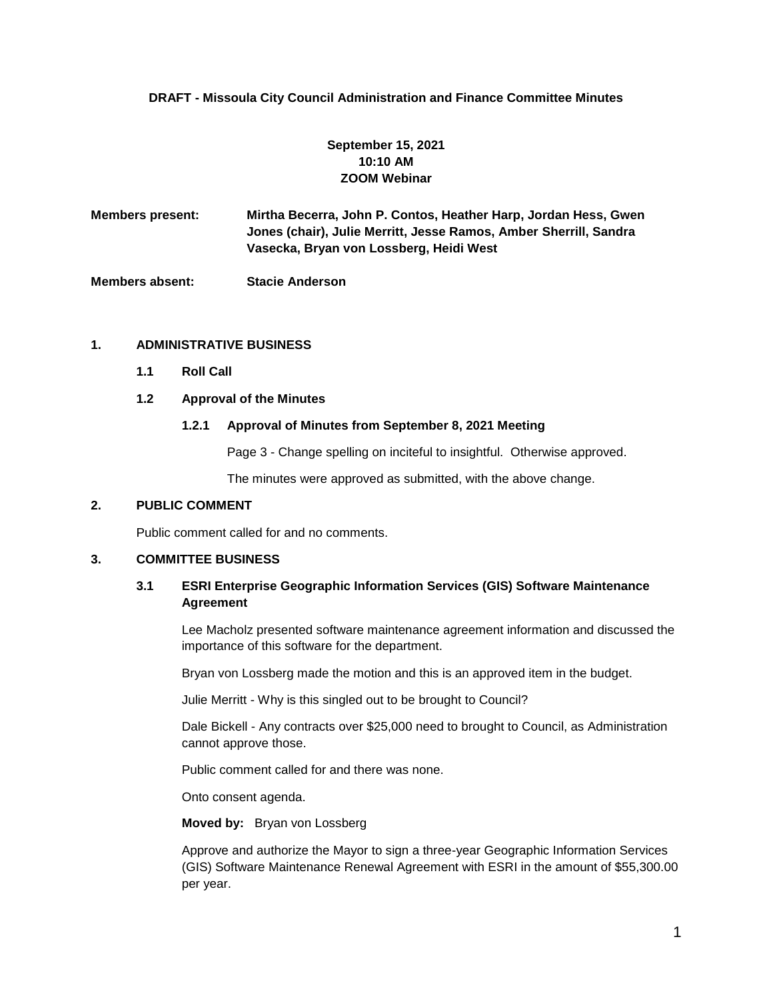# **DRAFT - Missoula City Council Administration and Finance Committee Minutes**

# **September 15, 2021 10:10 AM ZOOM Webinar**

**Members present: Mirtha Becerra, John P. Contos, Heather Harp, Jordan Hess, Gwen Jones (chair), Julie Merritt, Jesse Ramos, Amber Sherrill, Sandra Vasecka, Bryan von Lossberg, Heidi West**

**Members absent: Stacie Anderson**

# **1. ADMINISTRATIVE BUSINESS**

**1.1 Roll Call**

# **1.2 Approval of the Minutes**

#### **1.2.1 Approval of Minutes from September 8, 2021 Meeting**

Page 3 - Change spelling on inciteful to insightful. Otherwise approved.

The minutes were approved as submitted, with the above change.

## **2. PUBLIC COMMENT**

Public comment called for and no comments.

#### **3. COMMITTEE BUSINESS**

# **3.1 ESRI Enterprise Geographic Information Services (GIS) Software Maintenance Agreement**

Lee Macholz presented software maintenance agreement information and discussed the importance of this software for the department.

Bryan von Lossberg made the motion and this is an approved item in the budget.

Julie Merritt - Why is this singled out to be brought to Council?

Dale Bickell - Any contracts over \$25,000 need to brought to Council, as Administration cannot approve those.

Public comment called for and there was none.

Onto consent agenda.

# **Moved by:** Bryan von Lossberg

Approve and authorize the Mayor to sign a three-year Geographic Information Services (GIS) Software Maintenance Renewal Agreement with ESRI in the amount of \$55,300.00 per year.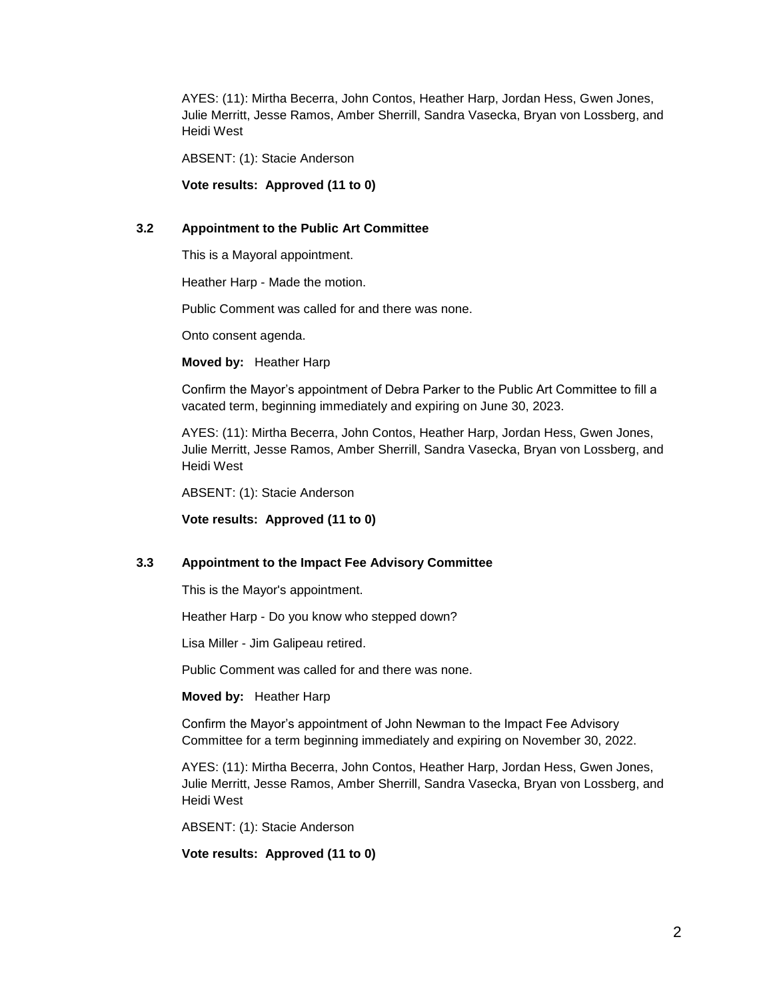AYES: (11): Mirtha Becerra, John Contos, Heather Harp, Jordan Hess, Gwen Jones, Julie Merritt, Jesse Ramos, Amber Sherrill, Sandra Vasecka, Bryan von Lossberg, and Heidi West

ABSENT: (1): Stacie Anderson

**Vote results: Approved (11 to 0)**

#### **3.2 Appointment to the Public Art Committee**

This is a Mayoral appointment.

Heather Harp - Made the motion.

Public Comment was called for and there was none.

Onto consent agenda.

**Moved by:** Heather Harp

Confirm the Mayor's appointment of Debra Parker to the Public Art Committee to fill a vacated term, beginning immediately and expiring on June 30, 2023.

AYES: (11): Mirtha Becerra, John Contos, Heather Harp, Jordan Hess, Gwen Jones, Julie Merritt, Jesse Ramos, Amber Sherrill, Sandra Vasecka, Bryan von Lossberg, and Heidi West

ABSENT: (1): Stacie Anderson

**Vote results: Approved (11 to 0)**

#### **3.3 Appointment to the Impact Fee Advisory Committee**

This is the Mayor's appointment.

Heather Harp - Do you know who stepped down?

Lisa Miller - Jim Galipeau retired.

Public Comment was called for and there was none.

**Moved by:** Heather Harp

Confirm the Mayor's appointment of John Newman to the Impact Fee Advisory Committee for a term beginning immediately and expiring on November 30, 2022.

AYES: (11): Mirtha Becerra, John Contos, Heather Harp, Jordan Hess, Gwen Jones, Julie Merritt, Jesse Ramos, Amber Sherrill, Sandra Vasecka, Bryan von Lossberg, and Heidi West

ABSENT: (1): Stacie Anderson

**Vote results: Approved (11 to 0)**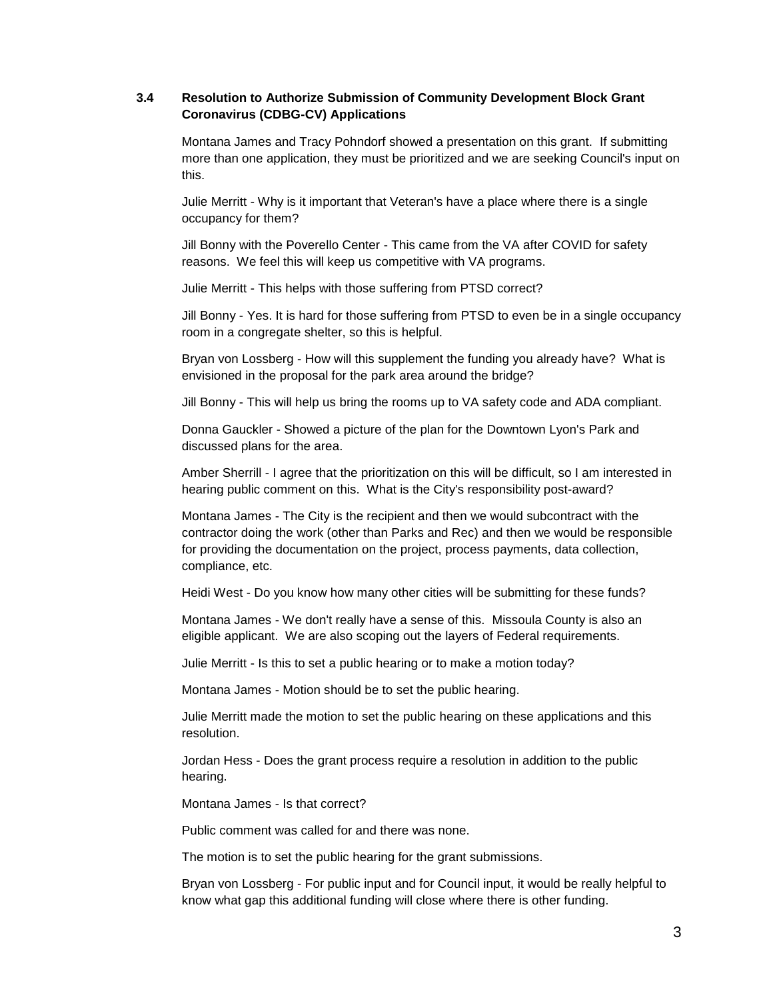# **3.4 Resolution to Authorize Submission of Community Development Block Grant Coronavirus (CDBG-CV) Applications**

Montana James and Tracy Pohndorf showed a presentation on this grant. If submitting more than one application, they must be prioritized and we are seeking Council's input on this.

Julie Merritt - Why is it important that Veteran's have a place where there is a single occupancy for them?

Jill Bonny with the Poverello Center - This came from the VA after COVID for safety reasons. We feel this will keep us competitive with VA programs.

Julie Merritt - This helps with those suffering from PTSD correct?

Jill Bonny - Yes. It is hard for those suffering from PTSD to even be in a single occupancy room in a congregate shelter, so this is helpful.

Bryan von Lossberg - How will this supplement the funding you already have? What is envisioned in the proposal for the park area around the bridge?

Jill Bonny - This will help us bring the rooms up to VA safety code and ADA compliant.

Donna Gauckler - Showed a picture of the plan for the Downtown Lyon's Park and discussed plans for the area.

Amber Sherrill - I agree that the prioritization on this will be difficult, so I am interested in hearing public comment on this. What is the City's responsibility post-award?

Montana James - The City is the recipient and then we would subcontract with the contractor doing the work (other than Parks and Rec) and then we would be responsible for providing the documentation on the project, process payments, data collection, compliance, etc.

Heidi West - Do you know how many other cities will be submitting for these funds?

Montana James - We don't really have a sense of this. Missoula County is also an eligible applicant. We are also scoping out the layers of Federal requirements.

Julie Merritt - Is this to set a public hearing or to make a motion today?

Montana James - Motion should be to set the public hearing.

Julie Merritt made the motion to set the public hearing on these applications and this resolution.

Jordan Hess - Does the grant process require a resolution in addition to the public hearing.

Montana James - Is that correct?

Public comment was called for and there was none.

The motion is to set the public hearing for the grant submissions.

Bryan von Lossberg - For public input and for Council input, it would be really helpful to know what gap this additional funding will close where there is other funding.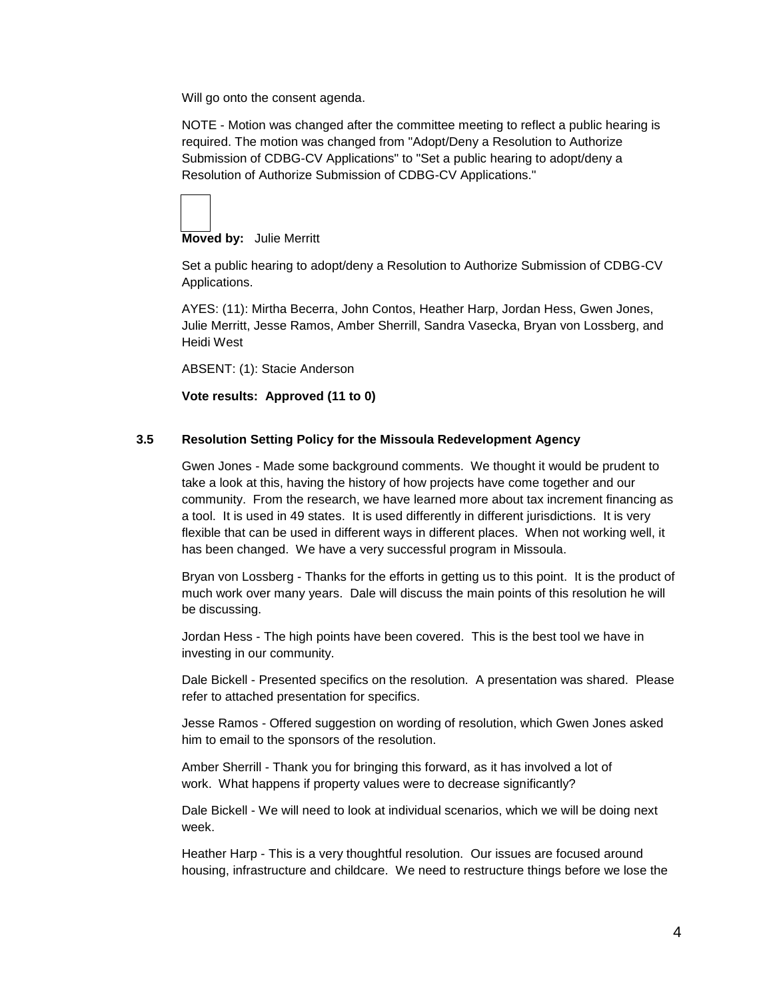Will go onto the consent agenda.

NOTE - Motion was changed after the committee meeting to reflect a public hearing is required. The motion was changed from "Adopt/Deny a Resolution to Authorize Submission of CDBG-CV Applications" to "Set a public hearing to adopt/deny a Resolution of Authorize Submission of CDBG-CV Applications."

# **Moved by:** Julie Merritt

Set a public hearing to adopt/deny a Resolution to Authorize Submission of CDBG-CV Applications.

AYES: (11): Mirtha Becerra, John Contos, Heather Harp, Jordan Hess, Gwen Jones, Julie Merritt, Jesse Ramos, Amber Sherrill, Sandra Vasecka, Bryan von Lossberg, and Heidi West

ABSENT: (1): Stacie Anderson

# **Vote results: Approved (11 to 0)**

# **3.5 Resolution Setting Policy for the Missoula Redevelopment Agency**

Gwen Jones - Made some background comments. We thought it would be prudent to take a look at this, having the history of how projects have come together and our community. From the research, we have learned more about tax increment financing as a tool. It is used in 49 states. It is used differently in different jurisdictions. It is very flexible that can be used in different ways in different places. When not working well, it has been changed. We have a very successful program in Missoula.

Bryan von Lossberg - Thanks for the efforts in getting us to this point. It is the product of much work over many years. Dale will discuss the main points of this resolution he will be discussing.

Jordan Hess - The high points have been covered. This is the best tool we have in investing in our community.

Dale Bickell - Presented specifics on the resolution. A presentation was shared. Please refer to attached presentation for specifics.

Jesse Ramos - Offered suggestion on wording of resolution, which Gwen Jones asked him to email to the sponsors of the resolution.

Amber Sherrill - Thank you for bringing this forward, as it has involved a lot of work. What happens if property values were to decrease significantly?

Dale Bickell - We will need to look at individual scenarios, which we will be doing next week.

Heather Harp - This is a very thoughtful resolution. Our issues are focused around housing, infrastructure and childcare. We need to restructure things before we lose the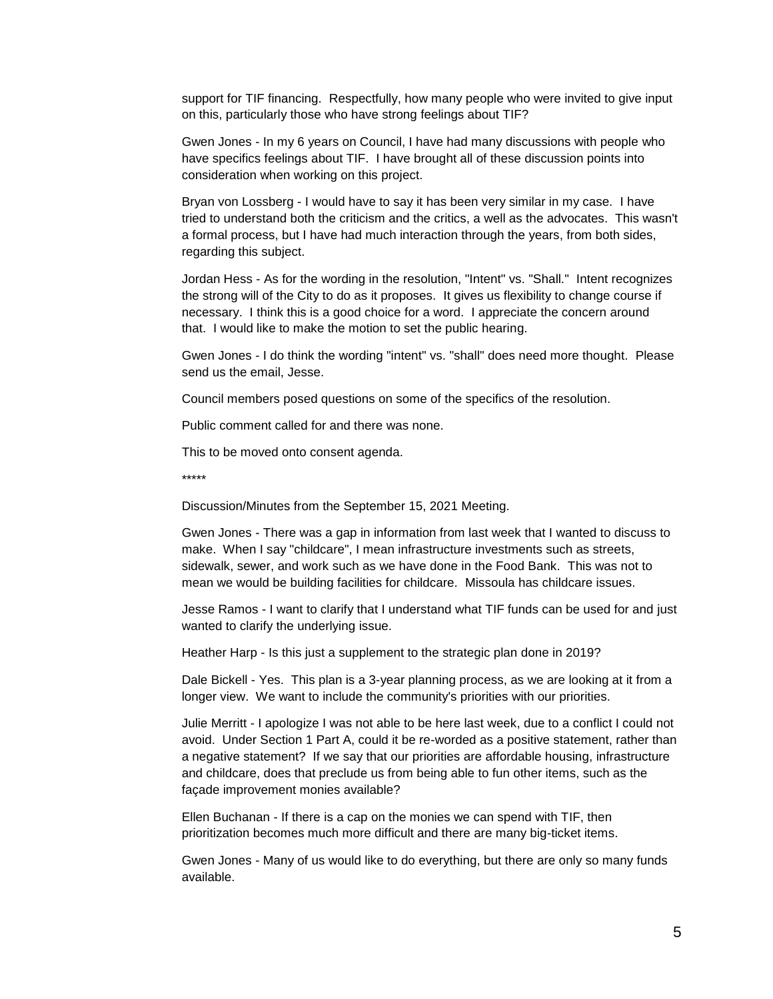support for TIF financing. Respectfully, how many people who were invited to give input on this, particularly those who have strong feelings about TIF?

Gwen Jones - In my 6 years on Council, I have had many discussions with people who have specifics feelings about TIF. I have brought all of these discussion points into consideration when working on this project.

Bryan von Lossberg - I would have to say it has been very similar in my case. I have tried to understand both the criticism and the critics, a well as the advocates. This wasn't a formal process, but I have had much interaction through the years, from both sides, regarding this subject.

Jordan Hess - As for the wording in the resolution, "Intent" vs. "Shall." Intent recognizes the strong will of the City to do as it proposes. It gives us flexibility to change course if necessary. I think this is a good choice for a word. I appreciate the concern around that. I would like to make the motion to set the public hearing.

Gwen Jones - I do think the wording "intent" vs. "shall" does need more thought. Please send us the email, Jesse.

Council members posed questions on some of the specifics of the resolution.

Public comment called for and there was none.

This to be moved onto consent agenda.

\*\*\*\*\*

Discussion/Minutes from the September 15, 2021 Meeting.

Gwen Jones - There was a gap in information from last week that I wanted to discuss to make. When I say "childcare", I mean infrastructure investments such as streets, sidewalk, sewer, and work such as we have done in the Food Bank. This was not to mean we would be building facilities for childcare. Missoula has childcare issues.

Jesse Ramos - I want to clarify that I understand what TIF funds can be used for and just wanted to clarify the underlying issue.

Heather Harp - Is this just a supplement to the strategic plan done in 2019?

Dale Bickell - Yes. This plan is a 3-year planning process, as we are looking at it from a longer view. We want to include the community's priorities with our priorities.

Julie Merritt - I apologize I was not able to be here last week, due to a conflict I could not avoid. Under Section 1 Part A, could it be re-worded as a positive statement, rather than a negative statement? If we say that our priorities are affordable housing, infrastructure and childcare, does that preclude us from being able to fun other items, such as the façade improvement monies available?

Ellen Buchanan - If there is a cap on the monies we can spend with TIF, then prioritization becomes much more difficult and there are many big-ticket items.

Gwen Jones - Many of us would like to do everything, but there are only so many funds available.